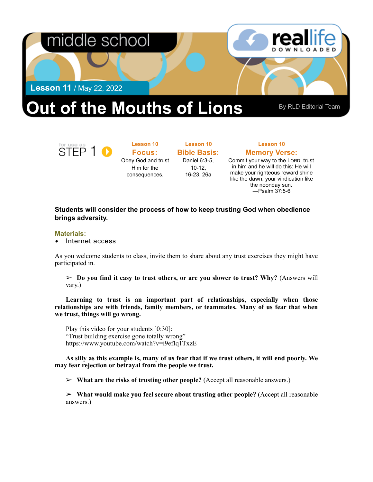

for use as<br>STEP 1 0

**Lesson 10 Focus:**  Obey God and trust Him for the consequences.

**Lesson 10 Bible Basis:** Daniel 6:3-5, 10-12, 16-23, 26a

## **Lesson 10 Memory Verse:**

Commit your way to the LORD; trust in him and he will do this: He will make your righteous reward shine like the dawn, your vindication like the noonday sun. —Psalm 37:5-6

## **Students will consider the process of how to keep trusting God when obedience brings adversity.**

## **Materials:**

• Internet access

As you welcome students to class, invite them to share about any trust exercises they might have participated in.

 $\geq$  **Do you find it easy to trust others, or are you slower to trust? Why?** (Answers will vary.)

**Learning to trust is an important part of relationships, especially when those relationships are with friends, family members, or teammates. Many of us fear that when we trust, things will go wrong.** 

Play this video for your students [0:30]: "Trust building exercise gone totally wrong" <https://www.youtube.com/watch?v=i9efIq1TxzE>

**As silly as this example is, many of us fear that if we trust others, it will end poorly. We may fear rejection or betrayal from the people we trust.** 

➢ **What are the risks of trusting other people?** (Accept all reasonable answers.)

➢ **What would make you feel secure about trusting other people?** (Accept all reasonable answers.)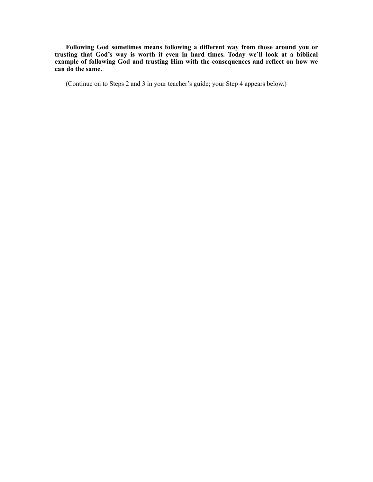**Following God sometimes means following a different way from those around you or trusting that God's way is worth it even in hard times. Today we'll look at a biblical example of following God and trusting Him with the consequences and reflect on how we can do the same.** 

(Continue on to Steps 2 and 3 in your teacher's guide; your Step 4 appears below.)